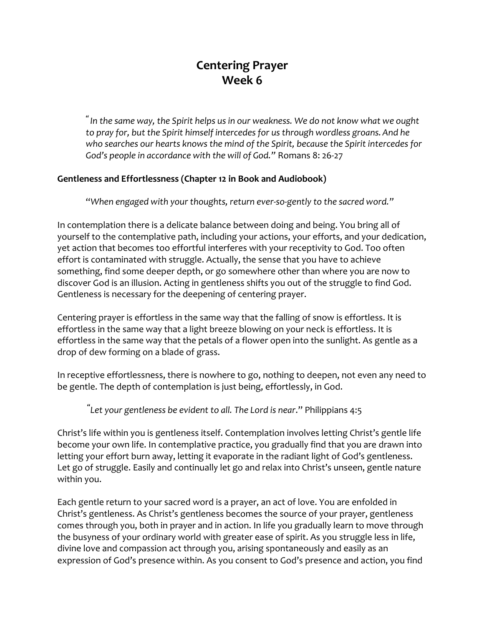## **Centering Prayer Week 6**

*" In the same way, the Spirit helps us in our weakness. We do not know what we ought to pray for, but the Spirit himself intercedes for us through wordless groans.And he who searches our hearts knows the mind of the Spirit, because the Spirit intercedes for God's people in accordance with the will of God."* Romans 8: 26-27

## **Gentleness and Effortlessness (Chapter 12 in Book and Audiobook)**

"*When engaged with your thoughts, return ever-so-gently to the sacred word."*

In contemplation there is a delicate balance between doing and being. You bring all of yourself to the contemplative path, including your actions, your efforts, and your dedication, yet action that becomes too effortful interferes with your receptivity to God. Too often effort is contaminated with struggle. Actually, the sense that you have to achieve something, find some deeper depth, or go somewhere other than where you are now to discover God is an illusion. Acting in gentleness shifts you out of the struggle to find God. Gentleness is necessary for the deepening of centering prayer.

Centering prayer is effortless in the same way that the falling of snow is effortless. It is effortless in the same way that a light breeze blowing on your neck is effortless. It is effortless in the same way that the petals of a flower open into the sunlight. As gentle as a drop of dew forming on a blade of grass.

In receptive effortlessness, there is nowhere to go, nothing to deepen, not even any need to be gentle. The depth of contemplation is just being, effortlessly, in God.

**"** *Let your gentleness be evident to all. The Lord is near*." Philippians 4:5

Christ's life within you is gentleness itself. Contemplation involves letting Christ's gentle life become your own life. In contemplative practice, you gradually find that you are drawn into letting your effort burn away, letting it evaporate in the radiant light of God's gentleness. Let go of struggle. Easily and continually let go and relax into Christ's unseen, gentle nature within you.

Each gentle return to your sacred word is a prayer, an act of love. You are enfolded in Christ's gentleness. As Christ's gentleness becomes the source of your prayer, gentleness comes through you, both in prayer and in action. In life you gradually learn to move through the busyness of your ordinary world with greater ease of spirit. As you struggle less in life, divine love and compassion act through you, arising spontaneously and easily as an expression of God's presence within. As you consent to God's presence and action, you find